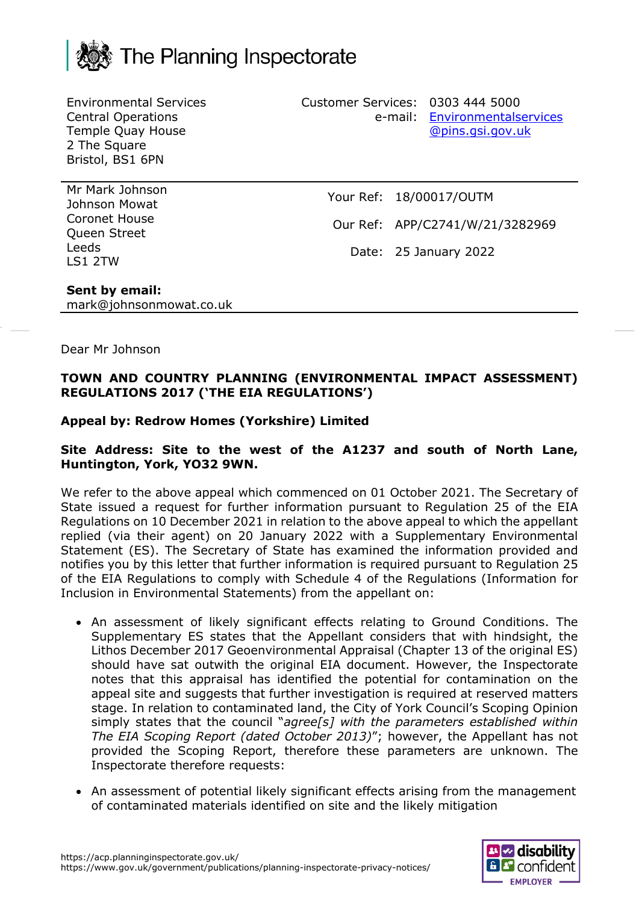

Environmental Services Central Operations Temple Quay House 2 The Square Bristol, BS1 6PN

Customer Services: 0303 444 5000 e-mail: [Environmentalservices](mailto:Environmentalservices@pins.gsi.gov.uk) [@pins.gsi.gov.uk](mailto:Environmentalservices@pins.gsi.gov.uk)

Mr Mark Johnson Johnson Mowat Coronet House Queen Street Leeds LS1 2TW

Your Ref: 18/00017/OUTM

Our Ref: APP/C2741/W/21/3282969

Date: 25 January 2022

# **Sent by email:**

mark@johnsonmowat.co.uk

### Dear Mr Johnson

## **TOWN AND COUNTRY PLANNING (ENVIRONMENTAL IMPACT ASSESSMENT) REGULATIONS 2017 ('THE EIA REGULATIONS')**

# **Appeal by: Redrow Homes (Yorkshire) Limited**

### **Site Address: Site to the west of the A1237 and south of North Lane, Huntington, York, YO32 9WN.**

We refer to the above appeal which commenced on 01 October 2021. The Secretary of State issued a request for further information pursuant to Regulation 25 of the EIA Regulations on 10 December 2021 in relation to the above appeal to which the appellant replied (via their agent) on 20 January 2022 with a Supplementary Environmental Statement (ES). The Secretary of State has examined the information provided and notifies you by this letter that further information is required pursuant to Regulation 25 of the EIA Regulations to comply with Schedule 4 of the Regulations (Information for Inclusion in Environmental Statements) from the appellant on:

- An assessment of likely significant effects relating to Ground Conditions. The Supplementary ES states that the Appellant considers that with hindsight, the Lithos December 2017 Geoenvironmental Appraisal (Chapter 13 of the original ES) should have sat outwith the original EIA document. However, the Inspectorate notes that this appraisal has identified the potential for contamination on the appeal site and suggests that further investigation is required at reserved matters stage. In relation to contaminated land, the City of York Council's Scoping Opinion simply states that the council "*agree[s] with the parameters established within The EIA Scoping Report (dated October 2013)*"; however, the Appellant has not provided the Scoping Report, therefore these parameters are unknown. The Inspectorate therefore requests:
- An assessment of potential likely significant effects arising from the management of contaminated materials identified on site and the likely mitigation